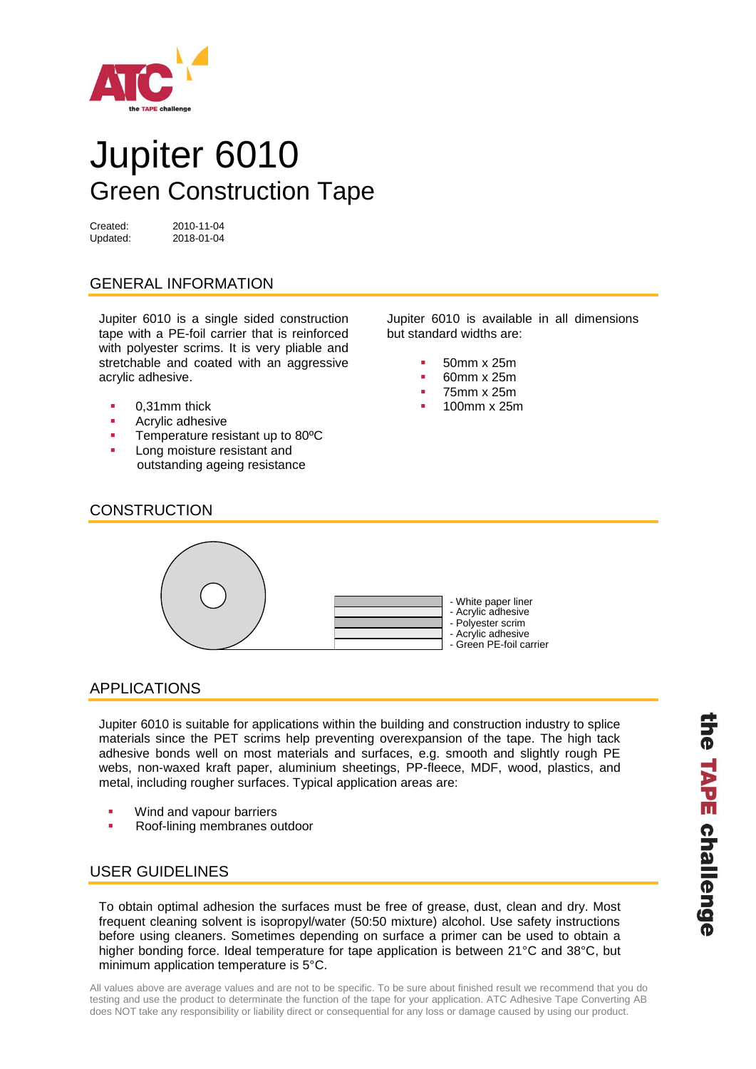

# Jupiter 6010 Green Construction Tape

Updated: 2018-01-04

Created: 2010-11-04

# GENERAL INFORMATION

Jupiter 6010 is a single sided construction tape with a PE-foil carrier that is reinforced with polyester scrims. It is very pliable and stretchable and coated with an aggressive acrylic adhesive.

- 0,31mm thick
- **Acrylic adhesive**
- **Temperature resistant up to 80°C**
- Long moisture resistant and outstanding ageing resistance

Jupiter 6010 is available in all dimensions but standard widths are:

- 50mm x 25m
- $-60$ mm x 25m
- 75mm x 25m
- 100mm x 25m

#### **CONSTRUCTION**



# APPLICATIONS

Jupiter 6010 is suitable for applications within the building and construction industry to splice materials since the PET scrims help preventing overexpansion of the tape. The high tack adhesive bonds well on most materials and surfaces, e.g. smooth and slightly rough PE webs, non-waxed kraft paper, aluminium sheetings, PP-fleece, MDF, wood, plastics, and metal, including rougher surfaces. Typical application areas are:

- Wind and vapour barriers
- Roof-lining membranes outdoor

# USER GUIDELINES

To obtain optimal adhesion the surfaces must be free of grease, dust, clean and dry. Most frequent cleaning solvent is isopropyl/water (50:50 mixture) alcohol. Use safety instructions before using cleaners. Sometimes depending on surface a primer can be used to obtain a higher bonding force. Ideal temperature for tape application is between 21°C and 38°C, but minimum application temperature is 5°C.

All values above are average values and are not to be specific. To be sure about finished result we recommend that you do testing and use the product to determinate the function of the tape for your application. ATC Adhesive Tape Converting AB does NOT take any responsibility or liability direct or consequential for any loss or damage caused by using our product.